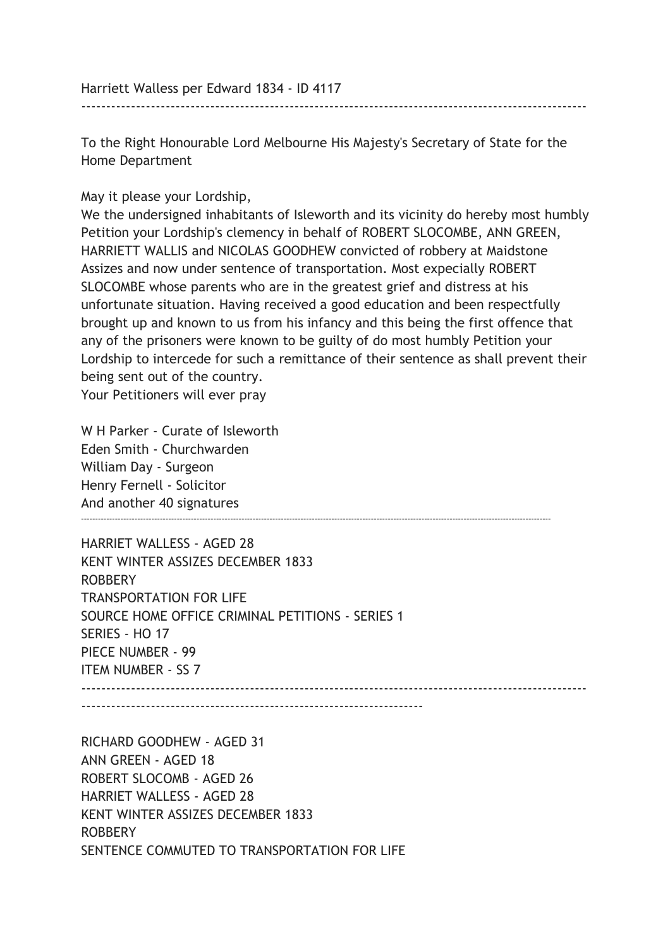Harriett Walless per Edward 1834 - ID 4117

To the Right Honourable Lord Melbourne His Majesty's Secretary of State for the Home Department

------------------------------------------------------------------------------------------------------

May it please your Lordship,

We the undersigned inhabitants of Isleworth and its vicinity do hereby most humbly Petition your Lordship's clemency in behalf of ROBERT SLOCOMBE, ANN GREEN, HARRIETT WALLIS and NICOLAS GOODHEW convicted of robbery at Maidstone Assizes and now under sentence of transportation. Most expecially ROBERT SLOCOMBE whose parents who are in the greatest grief and distress at his unfortunate situation. Having received a good education and been respectfully brought up and known to us from his infancy and this being the first offence that any of the prisoners were known to be guilty of do most humbly Petition your Lordship to intercede for such a remittance of their sentence as shall prevent their being sent out of the country.

Your Petitioners will ever pray

W H Parker - Curate of Isleworth Eden Smith - Churchwarden William Day - Surgeon Henry Fernell - Solicitor And another 40 signatures -----------------------------------------------------------------------------------------------------------------------------------------------------------------------

HARRIET WALLESS - AGED 28 KENT WINTER ASSIZES DECEMBER 1833 ROBBERY TRANSPORTATION FOR LIFE SOURCE HOME OFFICE CRIMINAL PETITIONS - SERIES 1 SERIES - HO 17 PIECE NUMBER - 99 ITEM NUMBER - SS 7 ------------------------------------------------------------------------------------------------------

---------------------------------------------------------------------

RICHARD GOODHEW - AGED 31 ANN GREEN - AGED 18 ROBERT SLOCOMB - AGED 26 HARRIET WALLESS - AGED 28 KENT WINTER ASSIZES DECEMBER 1833 ROBBERY SENTENCE COMMUTED TO TRANSPORTATION FOR LIFE